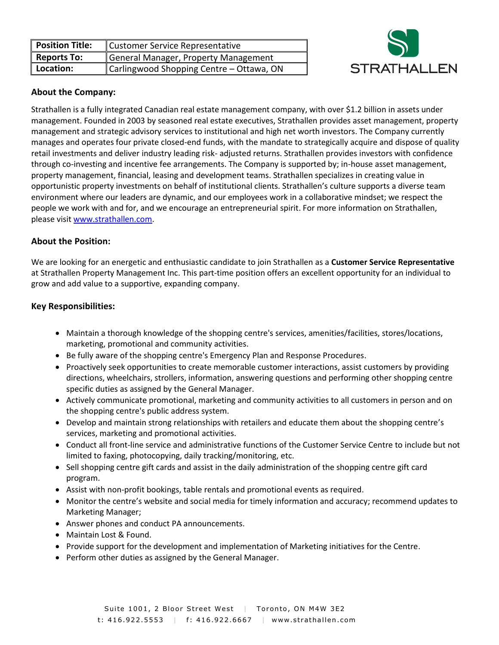| <b>Position Title:</b> | <b>Customer Service Representative</b>   |
|------------------------|------------------------------------------|
| <b>Reports To:</b>     | General Manager, Property Management     |
| Location:              | Carlingwood Shopping Centre - Ottawa, ON |



## **About the Company:**

Strathallen is a fully integrated Canadian real estate management company, with over \$1.2 billion in assets under management. Founded in 2003 by seasoned real estate executives, Strathallen provides asset management, property management and strategic advisory services to institutional and high net worth investors. The Company currently manages and operates four private closed-end funds, with the mandate to strategically acquire and dispose of quality retail investments and deliver industry leading risk- adjusted returns. Strathallen provides investors with confidence through co-investing and incentive fee arrangements. The Company is supported by; in-house asset management, property management, financial, leasing and development teams. Strathallen specializes in creating value in opportunistic property investments on behalf of institutional clients. Strathallen's culture supports a diverse team environment where our leaders are dynamic, and our employees work in a collaborative mindset; we respect the people we work with and for, and we encourage an entrepreneurial spirit. For more information on Strathallen, please visit [www.strathallen.com.](http://www.strathallen.com/)

## **About the Position:**

We are looking for an energetic and enthusiastic candidate to join Strathallen as a **Customer Service Representative** at Strathallen Property Management Inc. This part-time position offers an excellent opportunity for an individual to grow and add value to a supportive, expanding company.

## **Key Responsibilities:**

- Maintain a thorough knowledge of the shopping centre's services, amenities/facilities, stores/locations, marketing, promotional and community activities.
- **Be fully aware of the shopping centre's Emergency Plan and Response Procedures.**
- Proactively seek opportunities to create memorable customer interactions, assist customers by providing directions, wheelchairs, strollers, information, answering questions and performing other shopping centre specific duties as assigned by the General Manager.
- Actively communicate promotional, marketing and community activities to all customers in person and on the shopping centre's public address system.
- Develop and maintain strong relationships with retailers and educate them about the shopping centre's services, marketing and promotional activities.
- Conduct all front-line service and administrative functions of the Customer Service Centre to include but not limited to faxing, photocopying, daily tracking/monitoring, etc.
- Sell shopping centre gift cards and assist in the daily administration of the shopping centre gift card program.
- Assist with non-profit bookings, table rentals and promotional events as required.
- Monitor the centre's website and social media for timely information and accuracy; recommend updates to Marketing Manager;
- Answer phones and conduct PA announcements.
- Maintain Lost & Found.
- Provide support for the development and implementation of Marketing initiatives for the Centre.
- Perform other duties as assigned by the General Manager.